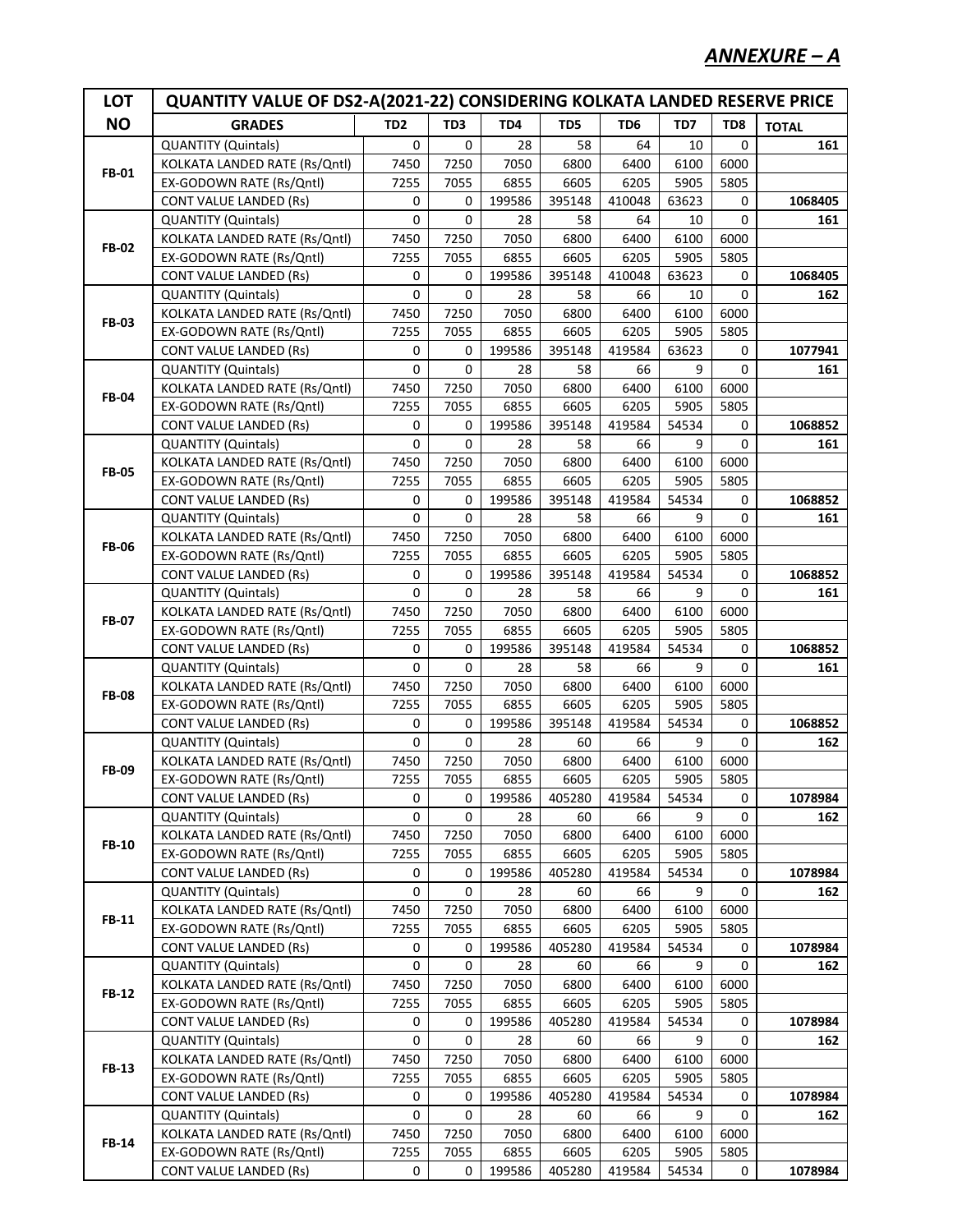| <b>NO</b><br>TD <sub>2</sub><br>TD3<br>TD4<br>TD5<br>TD <sub>6</sub><br>TD7<br>TD8<br><b>GRADES</b><br><b>TOTAL</b><br><b>QUANTITY (Quintals)</b><br>0<br>$\Omega$<br>161<br>0<br>28<br>58<br>64<br>10<br>7250<br>KOLKATA LANDED RATE (Rs/Qntl)<br>7450<br>7050<br>6800<br>6400<br>6100<br>6000<br><b>FB-01</b><br>5905<br>5805<br>EX-GODOWN RATE (Rs/Qntl)<br>7255<br>7055<br>6855<br>6605<br>6205<br>1068405<br>CONT VALUE LANDED (Rs)<br>0<br>0<br>199586<br>395148<br>410048<br>63623<br>0<br>0<br>0<br>0<br>58<br>64<br>QUANTITY (Quintals)<br>28<br>10<br>161<br>7450<br>7250<br>7050<br>6800<br>6400<br>6100<br>6000<br>KOLKATA LANDED RATE (Rs/Qntl)<br><b>FB-02</b><br>EX-GODOWN RATE (Rs/Qntl)<br>7255<br>6605<br>6205<br>5905<br>5805<br>7055<br>6855<br>199586<br>395148<br>1068405<br><b>CONT VALUE LANDED (Rs)</b><br>0<br>0<br>410048<br>63623<br>0<br>0<br>0<br>0<br><b>QUANTITY (Quintals)</b><br>58<br>162<br>28<br>66<br>10<br>7450<br>7250<br>7050<br>6400<br>6100<br>6000<br>KOLKATA LANDED RATE (Rs/Qntl)<br>6800<br><b>FB-03</b><br>EX-GODOWN RATE (Rs/Qntl)<br>7255<br>6855<br>6605<br>6205<br>5905<br>5805<br>7055<br><b>CONT VALUE LANDED (Rs)</b><br>199586<br>395148<br>63623<br>1077941<br>0<br>0<br>419584<br>0<br>0<br>0<br>0<br><b>QUANTITY (Quintals)</b><br>58<br>66<br>9<br>161<br>28<br>7250<br>7050<br>6100<br>6000<br>KOLKATA LANDED RATE (Rs/Qntl)<br>7450<br>6800<br>6400<br><b>FB-04</b><br>6855<br>5905<br>5805<br>EX-GODOWN RATE (Rs/Qntl)<br>7255<br>7055<br>6605<br>6205<br>199586<br>395148<br>54534<br>1068852<br><b>CONT VALUE LANDED (Rs)</b><br>0<br>0<br>419584<br>0<br>0<br>0<br>0<br><b>QUANTITY (Quintals)</b><br>58<br>66<br>9<br>28<br>161<br>7250<br>7050<br>6400<br>6100<br>6000<br>KOLKATA LANDED RATE (Rs/Qntl)<br>7450<br>6800<br><b>FB-05</b><br>5905<br>EX-GODOWN RATE (Rs/Qntl)<br>7255<br>7055<br>6855<br>6605<br>6205<br>5805<br>199586<br>54534<br>1068852<br>CONT VALUE LANDED (Rs)<br>0<br>0<br>395148<br>419584<br>0<br>0<br>0<br>0<br>58<br>66<br>9<br>QUANTITY (Quintals)<br>28<br>161<br>7450<br>7250<br>7050<br>6800<br>6400<br>6100<br>6000<br>KOLKATA LANDED RATE (Rs/Qntl)<br><b>FB-06</b><br>5905<br>EX-GODOWN RATE (Rs/Qntl)<br>7255<br>7055<br>6855<br>6605<br>6205<br>5805<br>1068852<br><b>CONT VALUE LANDED (Rs)</b><br>0<br>0<br>199586<br>395148<br>419584<br>54534<br>0<br>0<br>0<br>58<br>66<br>9<br>0<br>QUANTITY (Quintals)<br>28<br>161<br>7450<br>7250<br>7050<br>6800<br>6400<br>6100<br>6000<br>KOLKATA LANDED RATE (Rs/Qntl)<br><b>FB-07</b><br>EX-GODOWN RATE (Rs/Qntl)<br>7255<br>6855<br>6605<br>6205<br>5905<br>5805<br>7055<br>199586<br>395148<br>1068852<br><b>CONT VALUE LANDED (Rs)</b><br>0<br>0<br>419584<br>54534<br>0<br>0<br>0<br>0<br><b>QUANTITY (Quintals)</b><br>58<br>66<br>9<br>28<br>161<br>7450<br>7250<br>7050<br>6100<br>6000<br>KOLKATA LANDED RATE (Rs/Qntl)<br>6800<br>6400<br><b>FB-08</b><br>EX-GODOWN RATE (Rs/Qntl)<br>7255<br>6855<br>6605<br>6205<br>5905<br>5805<br>7055<br><b>CONT VALUE LANDED (Rs)</b><br>0<br>199586<br>395148<br>419584<br>1068852<br>0<br>54534<br>0<br>0<br>0<br>0<br><b>QUANTITY (Quintals)</b><br>60<br>66<br>9<br>162<br>28<br>7450<br>7250<br>6100<br>KOLKATA LANDED RATE (Rs/Qntl)<br>7050<br>6800<br>6400<br>6000<br><b>FB-09</b><br>7255<br>7055<br>6855<br>6605<br>6205<br>5905<br>5805<br>EX-GODOWN RATE (Rs/Qntl)<br><b>CONT VALUE LANDED (Rs)</b><br>0<br>199586<br>405280<br>419584<br>54534<br>0<br>1078984<br>0<br>0<br><b>QUANTITY (Quintals)</b><br>0<br>28<br>60<br>66<br>9<br>0<br>162<br>7050<br>6000<br>KOLKATA LANDED RATE (Rs/Qntl)<br>7450<br>7250<br>6800<br>6400<br>6100<br><b>FB-10</b><br>5905<br>5805<br>EX-GODOWN RATE (Rs/Qntl)<br>7255<br>7055<br>6855<br>6605<br>6205<br>199586<br>405280<br>419584<br>54534<br>1078984<br><b>CONT VALUE LANDED (Rs)</b><br>0<br>0<br>0<br>0<br>0<br><b>QUANTITY (Quintals)</b><br>0<br>28<br>60<br>66<br>9<br>162<br>7050<br>6100<br>6000<br>KOLKATA LANDED RATE (Rs/Qntl)<br>7450<br>7250<br>6800<br>6400<br><b>FB-11</b><br>5905<br>5805<br>EX-GODOWN RATE (Rs/Qntl)<br>7255<br>7055<br>6855<br>6605<br>6205<br>199586<br>405280<br>54534<br>1078984<br><b>CONT VALUE LANDED (Rs)</b><br>0<br>419584<br>0<br>0<br>0<br>0<br><b>QUANTITY (Quintals)</b><br>0<br>28<br>66<br>9<br>162<br>60<br>7050<br>6100<br>6000<br>KOLKATA LANDED RATE (Rs/Qntl)<br>7450<br>7250<br>6800<br>6400<br><b>FB-12</b><br>EX-GODOWN RATE (Rs/Qntl)<br>5905<br>5805<br>7255<br>7055<br>6855<br>6605<br>6205<br>199586<br>405280<br>54534<br>1078984<br><b>CONT VALUE LANDED (Rs)</b><br>0<br>419584<br>0<br>0<br>0<br><b>QUANTITY (Quintals)</b><br>0<br>0<br>28<br>66<br>9<br>162<br>60<br>6100<br>6000<br>KOLKATA LANDED RATE (Rs/Qntl)<br>7450<br>7250<br>7050<br>6800<br>6400<br><b>FB-13</b><br>EX-GODOWN RATE (Rs/Qntl)<br>6855<br>5905<br>5805<br>7255<br>7055<br>6605<br>6205<br>199586<br>405280<br>419584<br>54534<br>1078984<br><b>CONT VALUE LANDED (Rs)</b><br>0<br>0<br>0<br><b>QUANTITY (Quintals)</b><br>0<br>0<br>28<br>66<br>9<br>0<br>162<br>60<br>6000<br>KOLKATA LANDED RATE (Rs/Qntl)<br>7450<br>7250<br>7050<br>6800<br>6400<br>6100<br><b>FB-14</b><br>EX-GODOWN RATE (Rs/Qntl)<br>6855<br>6605<br>5905<br>5805<br>7255<br>7055<br>6205<br>199586<br>405280<br>419584<br>54534<br>1078984<br><b>CONT VALUE LANDED (Rs)</b><br>0<br>0<br>0 | <b>LOT</b> | <b>QUANTITY VALUE OF DS2-A(2021-22) CONSIDERING KOLKATA LANDED RESERVE PRICE</b> |  |  |  |  |  |  |  |  |
|------------------------------------------------------------------------------------------------------------------------------------------------------------------------------------------------------------------------------------------------------------------------------------------------------------------------------------------------------------------------------------------------------------------------------------------------------------------------------------------------------------------------------------------------------------------------------------------------------------------------------------------------------------------------------------------------------------------------------------------------------------------------------------------------------------------------------------------------------------------------------------------------------------------------------------------------------------------------------------------------------------------------------------------------------------------------------------------------------------------------------------------------------------------------------------------------------------------------------------------------------------------------------------------------------------------------------------------------------------------------------------------------------------------------------------------------------------------------------------------------------------------------------------------------------------------------------------------------------------------------------------------------------------------------------------------------------------------------------------------------------------------------------------------------------------------------------------------------------------------------------------------------------------------------------------------------------------------------------------------------------------------------------------------------------------------------------------------------------------------------------------------------------------------------------------------------------------------------------------------------------------------------------------------------------------------------------------------------------------------------------------------------------------------------------------------------------------------------------------------------------------------------------------------------------------------------------------------------------------------------------------------------------------------------------------------------------------------------------------------------------------------------------------------------------------------------------------------------------------------------------------------------------------------------------------------------------------------------------------------------------------------------------------------------------------------------------------------------------------------------------------------------------------------------------------------------------------------------------------------------------------------------------------------------------------------------------------------------------------------------------------------------------------------------------------------------------------------------------------------------------------------------------------------------------------------------------------------------------------------------------------------------------------------------------------------------------------------------------------------------------------------------------------------------------------------------------------------------------------------------------------------------------------------------------------------------------------------------------------------------------------------------------------------------------------------------------------------------------------------------------------------------------------------------------------------------------------------------------------------------------------------------------------------------------------------------------------------------------------------------------------------------------------------------------------------------------------------------------------------------------------------------------------------------------------------------------------------------------------------------------------------------------------------------------------------------------------------------------------------------------------------------------------------------------------------------------------------------------------------------------------------------------------------------------------------------------------------------------------------------------------------------------------------------------------------------------------------------------------------------------------------------------------------------------------------------------------------------------------------------------------------------------------------------------------------------------------------------------------------------|------------|----------------------------------------------------------------------------------|--|--|--|--|--|--|--|--|
|                                                                                                                                                                                                                                                                                                                                                                                                                                                                                                                                                                                                                                                                                                                                                                                                                                                                                                                                                                                                                                                                                                                                                                                                                                                                                                                                                                                                                                                                                                                                                                                                                                                                                                                                                                                                                                                                                                                                                                                                                                                                                                                                                                                                                                                                                                                                                                                                                                                                                                                                                                                                                                                                                                                                                                                                                                                                                                                                                                                                                                                                                                                                                                                                                                                                                                                                                                                                                                                                                                                                                                                                                                                                                                                                                                                                                                                                                                                                                                                                                                                                                                                                                                                                                                                                                                                                                                                                                                                                                                                                                                                                                                                                                                                                                                                                                                                                                                                                                                                                                                                                                                                                                                                                                                                                                                                                                                        |            |                                                                                  |  |  |  |  |  |  |  |  |
|                                                                                                                                                                                                                                                                                                                                                                                                                                                                                                                                                                                                                                                                                                                                                                                                                                                                                                                                                                                                                                                                                                                                                                                                                                                                                                                                                                                                                                                                                                                                                                                                                                                                                                                                                                                                                                                                                                                                                                                                                                                                                                                                                                                                                                                                                                                                                                                                                                                                                                                                                                                                                                                                                                                                                                                                                                                                                                                                                                                                                                                                                                                                                                                                                                                                                                                                                                                                                                                                                                                                                                                                                                                                                                                                                                                                                                                                                                                                                                                                                                                                                                                                                                                                                                                                                                                                                                                                                                                                                                                                                                                                                                                                                                                                                                                                                                                                                                                                                                                                                                                                                                                                                                                                                                                                                                                                                                        |            |                                                                                  |  |  |  |  |  |  |  |  |
|                                                                                                                                                                                                                                                                                                                                                                                                                                                                                                                                                                                                                                                                                                                                                                                                                                                                                                                                                                                                                                                                                                                                                                                                                                                                                                                                                                                                                                                                                                                                                                                                                                                                                                                                                                                                                                                                                                                                                                                                                                                                                                                                                                                                                                                                                                                                                                                                                                                                                                                                                                                                                                                                                                                                                                                                                                                                                                                                                                                                                                                                                                                                                                                                                                                                                                                                                                                                                                                                                                                                                                                                                                                                                                                                                                                                                                                                                                                                                                                                                                                                                                                                                                                                                                                                                                                                                                                                                                                                                                                                                                                                                                                                                                                                                                                                                                                                                                                                                                                                                                                                                                                                                                                                                                                                                                                                                                        |            |                                                                                  |  |  |  |  |  |  |  |  |
|                                                                                                                                                                                                                                                                                                                                                                                                                                                                                                                                                                                                                                                                                                                                                                                                                                                                                                                                                                                                                                                                                                                                                                                                                                                                                                                                                                                                                                                                                                                                                                                                                                                                                                                                                                                                                                                                                                                                                                                                                                                                                                                                                                                                                                                                                                                                                                                                                                                                                                                                                                                                                                                                                                                                                                                                                                                                                                                                                                                                                                                                                                                                                                                                                                                                                                                                                                                                                                                                                                                                                                                                                                                                                                                                                                                                                                                                                                                                                                                                                                                                                                                                                                                                                                                                                                                                                                                                                                                                                                                                                                                                                                                                                                                                                                                                                                                                                                                                                                                                                                                                                                                                                                                                                                                                                                                                                                        |            |                                                                                  |  |  |  |  |  |  |  |  |
|                                                                                                                                                                                                                                                                                                                                                                                                                                                                                                                                                                                                                                                                                                                                                                                                                                                                                                                                                                                                                                                                                                                                                                                                                                                                                                                                                                                                                                                                                                                                                                                                                                                                                                                                                                                                                                                                                                                                                                                                                                                                                                                                                                                                                                                                                                                                                                                                                                                                                                                                                                                                                                                                                                                                                                                                                                                                                                                                                                                                                                                                                                                                                                                                                                                                                                                                                                                                                                                                                                                                                                                                                                                                                                                                                                                                                                                                                                                                                                                                                                                                                                                                                                                                                                                                                                                                                                                                                                                                                                                                                                                                                                                                                                                                                                                                                                                                                                                                                                                                                                                                                                                                                                                                                                                                                                                                                                        |            |                                                                                  |  |  |  |  |  |  |  |  |
|                                                                                                                                                                                                                                                                                                                                                                                                                                                                                                                                                                                                                                                                                                                                                                                                                                                                                                                                                                                                                                                                                                                                                                                                                                                                                                                                                                                                                                                                                                                                                                                                                                                                                                                                                                                                                                                                                                                                                                                                                                                                                                                                                                                                                                                                                                                                                                                                                                                                                                                                                                                                                                                                                                                                                                                                                                                                                                                                                                                                                                                                                                                                                                                                                                                                                                                                                                                                                                                                                                                                                                                                                                                                                                                                                                                                                                                                                                                                                                                                                                                                                                                                                                                                                                                                                                                                                                                                                                                                                                                                                                                                                                                                                                                                                                                                                                                                                                                                                                                                                                                                                                                                                                                                                                                                                                                                                                        |            |                                                                                  |  |  |  |  |  |  |  |  |
|                                                                                                                                                                                                                                                                                                                                                                                                                                                                                                                                                                                                                                                                                                                                                                                                                                                                                                                                                                                                                                                                                                                                                                                                                                                                                                                                                                                                                                                                                                                                                                                                                                                                                                                                                                                                                                                                                                                                                                                                                                                                                                                                                                                                                                                                                                                                                                                                                                                                                                                                                                                                                                                                                                                                                                                                                                                                                                                                                                                                                                                                                                                                                                                                                                                                                                                                                                                                                                                                                                                                                                                                                                                                                                                                                                                                                                                                                                                                                                                                                                                                                                                                                                                                                                                                                                                                                                                                                                                                                                                                                                                                                                                                                                                                                                                                                                                                                                                                                                                                                                                                                                                                                                                                                                                                                                                                                                        |            |                                                                                  |  |  |  |  |  |  |  |  |
|                                                                                                                                                                                                                                                                                                                                                                                                                                                                                                                                                                                                                                                                                                                                                                                                                                                                                                                                                                                                                                                                                                                                                                                                                                                                                                                                                                                                                                                                                                                                                                                                                                                                                                                                                                                                                                                                                                                                                                                                                                                                                                                                                                                                                                                                                                                                                                                                                                                                                                                                                                                                                                                                                                                                                                                                                                                                                                                                                                                                                                                                                                                                                                                                                                                                                                                                                                                                                                                                                                                                                                                                                                                                                                                                                                                                                                                                                                                                                                                                                                                                                                                                                                                                                                                                                                                                                                                                                                                                                                                                                                                                                                                                                                                                                                                                                                                                                                                                                                                                                                                                                                                                                                                                                                                                                                                                                                        |            |                                                                                  |  |  |  |  |  |  |  |  |
|                                                                                                                                                                                                                                                                                                                                                                                                                                                                                                                                                                                                                                                                                                                                                                                                                                                                                                                                                                                                                                                                                                                                                                                                                                                                                                                                                                                                                                                                                                                                                                                                                                                                                                                                                                                                                                                                                                                                                                                                                                                                                                                                                                                                                                                                                                                                                                                                                                                                                                                                                                                                                                                                                                                                                                                                                                                                                                                                                                                                                                                                                                                                                                                                                                                                                                                                                                                                                                                                                                                                                                                                                                                                                                                                                                                                                                                                                                                                                                                                                                                                                                                                                                                                                                                                                                                                                                                                                                                                                                                                                                                                                                                                                                                                                                                                                                                                                                                                                                                                                                                                                                                                                                                                                                                                                                                                                                        |            |                                                                                  |  |  |  |  |  |  |  |  |
|                                                                                                                                                                                                                                                                                                                                                                                                                                                                                                                                                                                                                                                                                                                                                                                                                                                                                                                                                                                                                                                                                                                                                                                                                                                                                                                                                                                                                                                                                                                                                                                                                                                                                                                                                                                                                                                                                                                                                                                                                                                                                                                                                                                                                                                                                                                                                                                                                                                                                                                                                                                                                                                                                                                                                                                                                                                                                                                                                                                                                                                                                                                                                                                                                                                                                                                                                                                                                                                                                                                                                                                                                                                                                                                                                                                                                                                                                                                                                                                                                                                                                                                                                                                                                                                                                                                                                                                                                                                                                                                                                                                                                                                                                                                                                                                                                                                                                                                                                                                                                                                                                                                                                                                                                                                                                                                                                                        |            |                                                                                  |  |  |  |  |  |  |  |  |
|                                                                                                                                                                                                                                                                                                                                                                                                                                                                                                                                                                                                                                                                                                                                                                                                                                                                                                                                                                                                                                                                                                                                                                                                                                                                                                                                                                                                                                                                                                                                                                                                                                                                                                                                                                                                                                                                                                                                                                                                                                                                                                                                                                                                                                                                                                                                                                                                                                                                                                                                                                                                                                                                                                                                                                                                                                                                                                                                                                                                                                                                                                                                                                                                                                                                                                                                                                                                                                                                                                                                                                                                                                                                                                                                                                                                                                                                                                                                                                                                                                                                                                                                                                                                                                                                                                                                                                                                                                                                                                                                                                                                                                                                                                                                                                                                                                                                                                                                                                                                                                                                                                                                                                                                                                                                                                                                                                        |            |                                                                                  |  |  |  |  |  |  |  |  |
|                                                                                                                                                                                                                                                                                                                                                                                                                                                                                                                                                                                                                                                                                                                                                                                                                                                                                                                                                                                                                                                                                                                                                                                                                                                                                                                                                                                                                                                                                                                                                                                                                                                                                                                                                                                                                                                                                                                                                                                                                                                                                                                                                                                                                                                                                                                                                                                                                                                                                                                                                                                                                                                                                                                                                                                                                                                                                                                                                                                                                                                                                                                                                                                                                                                                                                                                                                                                                                                                                                                                                                                                                                                                                                                                                                                                                                                                                                                                                                                                                                                                                                                                                                                                                                                                                                                                                                                                                                                                                                                                                                                                                                                                                                                                                                                                                                                                                                                                                                                                                                                                                                                                                                                                                                                                                                                                                                        |            |                                                                                  |  |  |  |  |  |  |  |  |
|                                                                                                                                                                                                                                                                                                                                                                                                                                                                                                                                                                                                                                                                                                                                                                                                                                                                                                                                                                                                                                                                                                                                                                                                                                                                                                                                                                                                                                                                                                                                                                                                                                                                                                                                                                                                                                                                                                                                                                                                                                                                                                                                                                                                                                                                                                                                                                                                                                                                                                                                                                                                                                                                                                                                                                                                                                                                                                                                                                                                                                                                                                                                                                                                                                                                                                                                                                                                                                                                                                                                                                                                                                                                                                                                                                                                                                                                                                                                                                                                                                                                                                                                                                                                                                                                                                                                                                                                                                                                                                                                                                                                                                                                                                                                                                                                                                                                                                                                                                                                                                                                                                                                                                                                                                                                                                                                                                        |            |                                                                                  |  |  |  |  |  |  |  |  |
|                                                                                                                                                                                                                                                                                                                                                                                                                                                                                                                                                                                                                                                                                                                                                                                                                                                                                                                                                                                                                                                                                                                                                                                                                                                                                                                                                                                                                                                                                                                                                                                                                                                                                                                                                                                                                                                                                                                                                                                                                                                                                                                                                                                                                                                                                                                                                                                                                                                                                                                                                                                                                                                                                                                                                                                                                                                                                                                                                                                                                                                                                                                                                                                                                                                                                                                                                                                                                                                                                                                                                                                                                                                                                                                                                                                                                                                                                                                                                                                                                                                                                                                                                                                                                                                                                                                                                                                                                                                                                                                                                                                                                                                                                                                                                                                                                                                                                                                                                                                                                                                                                                                                                                                                                                                                                                                                                                        |            |                                                                                  |  |  |  |  |  |  |  |  |
|                                                                                                                                                                                                                                                                                                                                                                                                                                                                                                                                                                                                                                                                                                                                                                                                                                                                                                                                                                                                                                                                                                                                                                                                                                                                                                                                                                                                                                                                                                                                                                                                                                                                                                                                                                                                                                                                                                                                                                                                                                                                                                                                                                                                                                                                                                                                                                                                                                                                                                                                                                                                                                                                                                                                                                                                                                                                                                                                                                                                                                                                                                                                                                                                                                                                                                                                                                                                                                                                                                                                                                                                                                                                                                                                                                                                                                                                                                                                                                                                                                                                                                                                                                                                                                                                                                                                                                                                                                                                                                                                                                                                                                                                                                                                                                                                                                                                                                                                                                                                                                                                                                                                                                                                                                                                                                                                                                        |            |                                                                                  |  |  |  |  |  |  |  |  |
|                                                                                                                                                                                                                                                                                                                                                                                                                                                                                                                                                                                                                                                                                                                                                                                                                                                                                                                                                                                                                                                                                                                                                                                                                                                                                                                                                                                                                                                                                                                                                                                                                                                                                                                                                                                                                                                                                                                                                                                                                                                                                                                                                                                                                                                                                                                                                                                                                                                                                                                                                                                                                                                                                                                                                                                                                                                                                                                                                                                                                                                                                                                                                                                                                                                                                                                                                                                                                                                                                                                                                                                                                                                                                                                                                                                                                                                                                                                                                                                                                                                                                                                                                                                                                                                                                                                                                                                                                                                                                                                                                                                                                                                                                                                                                                                                                                                                                                                                                                                                                                                                                                                                                                                                                                                                                                                                                                        |            |                                                                                  |  |  |  |  |  |  |  |  |
|                                                                                                                                                                                                                                                                                                                                                                                                                                                                                                                                                                                                                                                                                                                                                                                                                                                                                                                                                                                                                                                                                                                                                                                                                                                                                                                                                                                                                                                                                                                                                                                                                                                                                                                                                                                                                                                                                                                                                                                                                                                                                                                                                                                                                                                                                                                                                                                                                                                                                                                                                                                                                                                                                                                                                                                                                                                                                                                                                                                                                                                                                                                                                                                                                                                                                                                                                                                                                                                                                                                                                                                                                                                                                                                                                                                                                                                                                                                                                                                                                                                                                                                                                                                                                                                                                                                                                                                                                                                                                                                                                                                                                                                                                                                                                                                                                                                                                                                                                                                                                                                                                                                                                                                                                                                                                                                                                                        |            |                                                                                  |  |  |  |  |  |  |  |  |
|                                                                                                                                                                                                                                                                                                                                                                                                                                                                                                                                                                                                                                                                                                                                                                                                                                                                                                                                                                                                                                                                                                                                                                                                                                                                                                                                                                                                                                                                                                                                                                                                                                                                                                                                                                                                                                                                                                                                                                                                                                                                                                                                                                                                                                                                                                                                                                                                                                                                                                                                                                                                                                                                                                                                                                                                                                                                                                                                                                                                                                                                                                                                                                                                                                                                                                                                                                                                                                                                                                                                                                                                                                                                                                                                                                                                                                                                                                                                                                                                                                                                                                                                                                                                                                                                                                                                                                                                                                                                                                                                                                                                                                                                                                                                                                                                                                                                                                                                                                                                                                                                                                                                                                                                                                                                                                                                                                        |            |                                                                                  |  |  |  |  |  |  |  |  |
|                                                                                                                                                                                                                                                                                                                                                                                                                                                                                                                                                                                                                                                                                                                                                                                                                                                                                                                                                                                                                                                                                                                                                                                                                                                                                                                                                                                                                                                                                                                                                                                                                                                                                                                                                                                                                                                                                                                                                                                                                                                                                                                                                                                                                                                                                                                                                                                                                                                                                                                                                                                                                                                                                                                                                                                                                                                                                                                                                                                                                                                                                                                                                                                                                                                                                                                                                                                                                                                                                                                                                                                                                                                                                                                                                                                                                                                                                                                                                                                                                                                                                                                                                                                                                                                                                                                                                                                                                                                                                                                                                                                                                                                                                                                                                                                                                                                                                                                                                                                                                                                                                                                                                                                                                                                                                                                                                                        |            |                                                                                  |  |  |  |  |  |  |  |  |
|                                                                                                                                                                                                                                                                                                                                                                                                                                                                                                                                                                                                                                                                                                                                                                                                                                                                                                                                                                                                                                                                                                                                                                                                                                                                                                                                                                                                                                                                                                                                                                                                                                                                                                                                                                                                                                                                                                                                                                                                                                                                                                                                                                                                                                                                                                                                                                                                                                                                                                                                                                                                                                                                                                                                                                                                                                                                                                                                                                                                                                                                                                                                                                                                                                                                                                                                                                                                                                                                                                                                                                                                                                                                                                                                                                                                                                                                                                                                                                                                                                                                                                                                                                                                                                                                                                                                                                                                                                                                                                                                                                                                                                                                                                                                                                                                                                                                                                                                                                                                                                                                                                                                                                                                                                                                                                                                                                        |            |                                                                                  |  |  |  |  |  |  |  |  |
|                                                                                                                                                                                                                                                                                                                                                                                                                                                                                                                                                                                                                                                                                                                                                                                                                                                                                                                                                                                                                                                                                                                                                                                                                                                                                                                                                                                                                                                                                                                                                                                                                                                                                                                                                                                                                                                                                                                                                                                                                                                                                                                                                                                                                                                                                                                                                                                                                                                                                                                                                                                                                                                                                                                                                                                                                                                                                                                                                                                                                                                                                                                                                                                                                                                                                                                                                                                                                                                                                                                                                                                                                                                                                                                                                                                                                                                                                                                                                                                                                                                                                                                                                                                                                                                                                                                                                                                                                                                                                                                                                                                                                                                                                                                                                                                                                                                                                                                                                                                                                                                                                                                                                                                                                                                                                                                                                                        |            |                                                                                  |  |  |  |  |  |  |  |  |
|                                                                                                                                                                                                                                                                                                                                                                                                                                                                                                                                                                                                                                                                                                                                                                                                                                                                                                                                                                                                                                                                                                                                                                                                                                                                                                                                                                                                                                                                                                                                                                                                                                                                                                                                                                                                                                                                                                                                                                                                                                                                                                                                                                                                                                                                                                                                                                                                                                                                                                                                                                                                                                                                                                                                                                                                                                                                                                                                                                                                                                                                                                                                                                                                                                                                                                                                                                                                                                                                                                                                                                                                                                                                                                                                                                                                                                                                                                                                                                                                                                                                                                                                                                                                                                                                                                                                                                                                                                                                                                                                                                                                                                                                                                                                                                                                                                                                                                                                                                                                                                                                                                                                                                                                                                                                                                                                                                        |            |                                                                                  |  |  |  |  |  |  |  |  |
|                                                                                                                                                                                                                                                                                                                                                                                                                                                                                                                                                                                                                                                                                                                                                                                                                                                                                                                                                                                                                                                                                                                                                                                                                                                                                                                                                                                                                                                                                                                                                                                                                                                                                                                                                                                                                                                                                                                                                                                                                                                                                                                                                                                                                                                                                                                                                                                                                                                                                                                                                                                                                                                                                                                                                                                                                                                                                                                                                                                                                                                                                                                                                                                                                                                                                                                                                                                                                                                                                                                                                                                                                                                                                                                                                                                                                                                                                                                                                                                                                                                                                                                                                                                                                                                                                                                                                                                                                                                                                                                                                                                                                                                                                                                                                                                                                                                                                                                                                                                                                                                                                                                                                                                                                                                                                                                                                                        |            |                                                                                  |  |  |  |  |  |  |  |  |
|                                                                                                                                                                                                                                                                                                                                                                                                                                                                                                                                                                                                                                                                                                                                                                                                                                                                                                                                                                                                                                                                                                                                                                                                                                                                                                                                                                                                                                                                                                                                                                                                                                                                                                                                                                                                                                                                                                                                                                                                                                                                                                                                                                                                                                                                                                                                                                                                                                                                                                                                                                                                                                                                                                                                                                                                                                                                                                                                                                                                                                                                                                                                                                                                                                                                                                                                                                                                                                                                                                                                                                                                                                                                                                                                                                                                                                                                                                                                                                                                                                                                                                                                                                                                                                                                                                                                                                                                                                                                                                                                                                                                                                                                                                                                                                                                                                                                                                                                                                                                                                                                                                                                                                                                                                                                                                                                                                        |            |                                                                                  |  |  |  |  |  |  |  |  |
|                                                                                                                                                                                                                                                                                                                                                                                                                                                                                                                                                                                                                                                                                                                                                                                                                                                                                                                                                                                                                                                                                                                                                                                                                                                                                                                                                                                                                                                                                                                                                                                                                                                                                                                                                                                                                                                                                                                                                                                                                                                                                                                                                                                                                                                                                                                                                                                                                                                                                                                                                                                                                                                                                                                                                                                                                                                                                                                                                                                                                                                                                                                                                                                                                                                                                                                                                                                                                                                                                                                                                                                                                                                                                                                                                                                                                                                                                                                                                                                                                                                                                                                                                                                                                                                                                                                                                                                                                                                                                                                                                                                                                                                                                                                                                                                                                                                                                                                                                                                                                                                                                                                                                                                                                                                                                                                                                                        |            |                                                                                  |  |  |  |  |  |  |  |  |
|                                                                                                                                                                                                                                                                                                                                                                                                                                                                                                                                                                                                                                                                                                                                                                                                                                                                                                                                                                                                                                                                                                                                                                                                                                                                                                                                                                                                                                                                                                                                                                                                                                                                                                                                                                                                                                                                                                                                                                                                                                                                                                                                                                                                                                                                                                                                                                                                                                                                                                                                                                                                                                                                                                                                                                                                                                                                                                                                                                                                                                                                                                                                                                                                                                                                                                                                                                                                                                                                                                                                                                                                                                                                                                                                                                                                                                                                                                                                                                                                                                                                                                                                                                                                                                                                                                                                                                                                                                                                                                                                                                                                                                                                                                                                                                                                                                                                                                                                                                                                                                                                                                                                                                                                                                                                                                                                                                        |            |                                                                                  |  |  |  |  |  |  |  |  |
|                                                                                                                                                                                                                                                                                                                                                                                                                                                                                                                                                                                                                                                                                                                                                                                                                                                                                                                                                                                                                                                                                                                                                                                                                                                                                                                                                                                                                                                                                                                                                                                                                                                                                                                                                                                                                                                                                                                                                                                                                                                                                                                                                                                                                                                                                                                                                                                                                                                                                                                                                                                                                                                                                                                                                                                                                                                                                                                                                                                                                                                                                                                                                                                                                                                                                                                                                                                                                                                                                                                                                                                                                                                                                                                                                                                                                                                                                                                                                                                                                                                                                                                                                                                                                                                                                                                                                                                                                                                                                                                                                                                                                                                                                                                                                                                                                                                                                                                                                                                                                                                                                                                                                                                                                                                                                                                                                                        |            |                                                                                  |  |  |  |  |  |  |  |  |
|                                                                                                                                                                                                                                                                                                                                                                                                                                                                                                                                                                                                                                                                                                                                                                                                                                                                                                                                                                                                                                                                                                                                                                                                                                                                                                                                                                                                                                                                                                                                                                                                                                                                                                                                                                                                                                                                                                                                                                                                                                                                                                                                                                                                                                                                                                                                                                                                                                                                                                                                                                                                                                                                                                                                                                                                                                                                                                                                                                                                                                                                                                                                                                                                                                                                                                                                                                                                                                                                                                                                                                                                                                                                                                                                                                                                                                                                                                                                                                                                                                                                                                                                                                                                                                                                                                                                                                                                                                                                                                                                                                                                                                                                                                                                                                                                                                                                                                                                                                                                                                                                                                                                                                                                                                                                                                                                                                        |            |                                                                                  |  |  |  |  |  |  |  |  |
|                                                                                                                                                                                                                                                                                                                                                                                                                                                                                                                                                                                                                                                                                                                                                                                                                                                                                                                                                                                                                                                                                                                                                                                                                                                                                                                                                                                                                                                                                                                                                                                                                                                                                                                                                                                                                                                                                                                                                                                                                                                                                                                                                                                                                                                                                                                                                                                                                                                                                                                                                                                                                                                                                                                                                                                                                                                                                                                                                                                                                                                                                                                                                                                                                                                                                                                                                                                                                                                                                                                                                                                                                                                                                                                                                                                                                                                                                                                                                                                                                                                                                                                                                                                                                                                                                                                                                                                                                                                                                                                                                                                                                                                                                                                                                                                                                                                                                                                                                                                                                                                                                                                                                                                                                                                                                                                                                                        |            |                                                                                  |  |  |  |  |  |  |  |  |
|                                                                                                                                                                                                                                                                                                                                                                                                                                                                                                                                                                                                                                                                                                                                                                                                                                                                                                                                                                                                                                                                                                                                                                                                                                                                                                                                                                                                                                                                                                                                                                                                                                                                                                                                                                                                                                                                                                                                                                                                                                                                                                                                                                                                                                                                                                                                                                                                                                                                                                                                                                                                                                                                                                                                                                                                                                                                                                                                                                                                                                                                                                                                                                                                                                                                                                                                                                                                                                                                                                                                                                                                                                                                                                                                                                                                                                                                                                                                                                                                                                                                                                                                                                                                                                                                                                                                                                                                                                                                                                                                                                                                                                                                                                                                                                                                                                                                                                                                                                                                                                                                                                                                                                                                                                                                                                                                                                        |            |                                                                                  |  |  |  |  |  |  |  |  |
|                                                                                                                                                                                                                                                                                                                                                                                                                                                                                                                                                                                                                                                                                                                                                                                                                                                                                                                                                                                                                                                                                                                                                                                                                                                                                                                                                                                                                                                                                                                                                                                                                                                                                                                                                                                                                                                                                                                                                                                                                                                                                                                                                                                                                                                                                                                                                                                                                                                                                                                                                                                                                                                                                                                                                                                                                                                                                                                                                                                                                                                                                                                                                                                                                                                                                                                                                                                                                                                                                                                                                                                                                                                                                                                                                                                                                                                                                                                                                                                                                                                                                                                                                                                                                                                                                                                                                                                                                                                                                                                                                                                                                                                                                                                                                                                                                                                                                                                                                                                                                                                                                                                                                                                                                                                                                                                                                                        |            |                                                                                  |  |  |  |  |  |  |  |  |
|                                                                                                                                                                                                                                                                                                                                                                                                                                                                                                                                                                                                                                                                                                                                                                                                                                                                                                                                                                                                                                                                                                                                                                                                                                                                                                                                                                                                                                                                                                                                                                                                                                                                                                                                                                                                                                                                                                                                                                                                                                                                                                                                                                                                                                                                                                                                                                                                                                                                                                                                                                                                                                                                                                                                                                                                                                                                                                                                                                                                                                                                                                                                                                                                                                                                                                                                                                                                                                                                                                                                                                                                                                                                                                                                                                                                                                                                                                                                                                                                                                                                                                                                                                                                                                                                                                                                                                                                                                                                                                                                                                                                                                                                                                                                                                                                                                                                                                                                                                                                                                                                                                                                                                                                                                                                                                                                                                        |            |                                                                                  |  |  |  |  |  |  |  |  |
|                                                                                                                                                                                                                                                                                                                                                                                                                                                                                                                                                                                                                                                                                                                                                                                                                                                                                                                                                                                                                                                                                                                                                                                                                                                                                                                                                                                                                                                                                                                                                                                                                                                                                                                                                                                                                                                                                                                                                                                                                                                                                                                                                                                                                                                                                                                                                                                                                                                                                                                                                                                                                                                                                                                                                                                                                                                                                                                                                                                                                                                                                                                                                                                                                                                                                                                                                                                                                                                                                                                                                                                                                                                                                                                                                                                                                                                                                                                                                                                                                                                                                                                                                                                                                                                                                                                                                                                                                                                                                                                                                                                                                                                                                                                                                                                                                                                                                                                                                                                                                                                                                                                                                                                                                                                                                                                                                                        |            |                                                                                  |  |  |  |  |  |  |  |  |
|                                                                                                                                                                                                                                                                                                                                                                                                                                                                                                                                                                                                                                                                                                                                                                                                                                                                                                                                                                                                                                                                                                                                                                                                                                                                                                                                                                                                                                                                                                                                                                                                                                                                                                                                                                                                                                                                                                                                                                                                                                                                                                                                                                                                                                                                                                                                                                                                                                                                                                                                                                                                                                                                                                                                                                                                                                                                                                                                                                                                                                                                                                                                                                                                                                                                                                                                                                                                                                                                                                                                                                                                                                                                                                                                                                                                                                                                                                                                                                                                                                                                                                                                                                                                                                                                                                                                                                                                                                                                                                                                                                                                                                                                                                                                                                                                                                                                                                                                                                                                                                                                                                                                                                                                                                                                                                                                                                        |            |                                                                                  |  |  |  |  |  |  |  |  |
|                                                                                                                                                                                                                                                                                                                                                                                                                                                                                                                                                                                                                                                                                                                                                                                                                                                                                                                                                                                                                                                                                                                                                                                                                                                                                                                                                                                                                                                                                                                                                                                                                                                                                                                                                                                                                                                                                                                                                                                                                                                                                                                                                                                                                                                                                                                                                                                                                                                                                                                                                                                                                                                                                                                                                                                                                                                                                                                                                                                                                                                                                                                                                                                                                                                                                                                                                                                                                                                                                                                                                                                                                                                                                                                                                                                                                                                                                                                                                                                                                                                                                                                                                                                                                                                                                                                                                                                                                                                                                                                                                                                                                                                                                                                                                                                                                                                                                                                                                                                                                                                                                                                                                                                                                                                                                                                                                                        |            |                                                                                  |  |  |  |  |  |  |  |  |
|                                                                                                                                                                                                                                                                                                                                                                                                                                                                                                                                                                                                                                                                                                                                                                                                                                                                                                                                                                                                                                                                                                                                                                                                                                                                                                                                                                                                                                                                                                                                                                                                                                                                                                                                                                                                                                                                                                                                                                                                                                                                                                                                                                                                                                                                                                                                                                                                                                                                                                                                                                                                                                                                                                                                                                                                                                                                                                                                                                                                                                                                                                                                                                                                                                                                                                                                                                                                                                                                                                                                                                                                                                                                                                                                                                                                                                                                                                                                                                                                                                                                                                                                                                                                                                                                                                                                                                                                                                                                                                                                                                                                                                                                                                                                                                                                                                                                                                                                                                                                                                                                                                                                                                                                                                                                                                                                                                        |            |                                                                                  |  |  |  |  |  |  |  |  |
|                                                                                                                                                                                                                                                                                                                                                                                                                                                                                                                                                                                                                                                                                                                                                                                                                                                                                                                                                                                                                                                                                                                                                                                                                                                                                                                                                                                                                                                                                                                                                                                                                                                                                                                                                                                                                                                                                                                                                                                                                                                                                                                                                                                                                                                                                                                                                                                                                                                                                                                                                                                                                                                                                                                                                                                                                                                                                                                                                                                                                                                                                                                                                                                                                                                                                                                                                                                                                                                                                                                                                                                                                                                                                                                                                                                                                                                                                                                                                                                                                                                                                                                                                                                                                                                                                                                                                                                                                                                                                                                                                                                                                                                                                                                                                                                                                                                                                                                                                                                                                                                                                                                                                                                                                                                                                                                                                                        |            |                                                                                  |  |  |  |  |  |  |  |  |
|                                                                                                                                                                                                                                                                                                                                                                                                                                                                                                                                                                                                                                                                                                                                                                                                                                                                                                                                                                                                                                                                                                                                                                                                                                                                                                                                                                                                                                                                                                                                                                                                                                                                                                                                                                                                                                                                                                                                                                                                                                                                                                                                                                                                                                                                                                                                                                                                                                                                                                                                                                                                                                                                                                                                                                                                                                                                                                                                                                                                                                                                                                                                                                                                                                                                                                                                                                                                                                                                                                                                                                                                                                                                                                                                                                                                                                                                                                                                                                                                                                                                                                                                                                                                                                                                                                                                                                                                                                                                                                                                                                                                                                                                                                                                                                                                                                                                                                                                                                                                                                                                                                                                                                                                                                                                                                                                                                        |            |                                                                                  |  |  |  |  |  |  |  |  |
|                                                                                                                                                                                                                                                                                                                                                                                                                                                                                                                                                                                                                                                                                                                                                                                                                                                                                                                                                                                                                                                                                                                                                                                                                                                                                                                                                                                                                                                                                                                                                                                                                                                                                                                                                                                                                                                                                                                                                                                                                                                                                                                                                                                                                                                                                                                                                                                                                                                                                                                                                                                                                                                                                                                                                                                                                                                                                                                                                                                                                                                                                                                                                                                                                                                                                                                                                                                                                                                                                                                                                                                                                                                                                                                                                                                                                                                                                                                                                                                                                                                                                                                                                                                                                                                                                                                                                                                                                                                                                                                                                                                                                                                                                                                                                                                                                                                                                                                                                                                                                                                                                                                                                                                                                                                                                                                                                                        |            |                                                                                  |  |  |  |  |  |  |  |  |
|                                                                                                                                                                                                                                                                                                                                                                                                                                                                                                                                                                                                                                                                                                                                                                                                                                                                                                                                                                                                                                                                                                                                                                                                                                                                                                                                                                                                                                                                                                                                                                                                                                                                                                                                                                                                                                                                                                                                                                                                                                                                                                                                                                                                                                                                                                                                                                                                                                                                                                                                                                                                                                                                                                                                                                                                                                                                                                                                                                                                                                                                                                                                                                                                                                                                                                                                                                                                                                                                                                                                                                                                                                                                                                                                                                                                                                                                                                                                                                                                                                                                                                                                                                                                                                                                                                                                                                                                                                                                                                                                                                                                                                                                                                                                                                                                                                                                                                                                                                                                                                                                                                                                                                                                                                                                                                                                                                        |            |                                                                                  |  |  |  |  |  |  |  |  |
|                                                                                                                                                                                                                                                                                                                                                                                                                                                                                                                                                                                                                                                                                                                                                                                                                                                                                                                                                                                                                                                                                                                                                                                                                                                                                                                                                                                                                                                                                                                                                                                                                                                                                                                                                                                                                                                                                                                                                                                                                                                                                                                                                                                                                                                                                                                                                                                                                                                                                                                                                                                                                                                                                                                                                                                                                                                                                                                                                                                                                                                                                                                                                                                                                                                                                                                                                                                                                                                                                                                                                                                                                                                                                                                                                                                                                                                                                                                                                                                                                                                                                                                                                                                                                                                                                                                                                                                                                                                                                                                                                                                                                                                                                                                                                                                                                                                                                                                                                                                                                                                                                                                                                                                                                                                                                                                                                                        |            |                                                                                  |  |  |  |  |  |  |  |  |
|                                                                                                                                                                                                                                                                                                                                                                                                                                                                                                                                                                                                                                                                                                                                                                                                                                                                                                                                                                                                                                                                                                                                                                                                                                                                                                                                                                                                                                                                                                                                                                                                                                                                                                                                                                                                                                                                                                                                                                                                                                                                                                                                                                                                                                                                                                                                                                                                                                                                                                                                                                                                                                                                                                                                                                                                                                                                                                                                                                                                                                                                                                                                                                                                                                                                                                                                                                                                                                                                                                                                                                                                                                                                                                                                                                                                                                                                                                                                                                                                                                                                                                                                                                                                                                                                                                                                                                                                                                                                                                                                                                                                                                                                                                                                                                                                                                                                                                                                                                                                                                                                                                                                                                                                                                                                                                                                                                        |            |                                                                                  |  |  |  |  |  |  |  |  |
|                                                                                                                                                                                                                                                                                                                                                                                                                                                                                                                                                                                                                                                                                                                                                                                                                                                                                                                                                                                                                                                                                                                                                                                                                                                                                                                                                                                                                                                                                                                                                                                                                                                                                                                                                                                                                                                                                                                                                                                                                                                                                                                                                                                                                                                                                                                                                                                                                                                                                                                                                                                                                                                                                                                                                                                                                                                                                                                                                                                                                                                                                                                                                                                                                                                                                                                                                                                                                                                                                                                                                                                                                                                                                                                                                                                                                                                                                                                                                                                                                                                                                                                                                                                                                                                                                                                                                                                                                                                                                                                                                                                                                                                                                                                                                                                                                                                                                                                                                                                                                                                                                                                                                                                                                                                                                                                                                                        |            |                                                                                  |  |  |  |  |  |  |  |  |
|                                                                                                                                                                                                                                                                                                                                                                                                                                                                                                                                                                                                                                                                                                                                                                                                                                                                                                                                                                                                                                                                                                                                                                                                                                                                                                                                                                                                                                                                                                                                                                                                                                                                                                                                                                                                                                                                                                                                                                                                                                                                                                                                                                                                                                                                                                                                                                                                                                                                                                                                                                                                                                                                                                                                                                                                                                                                                                                                                                                                                                                                                                                                                                                                                                                                                                                                                                                                                                                                                                                                                                                                                                                                                                                                                                                                                                                                                                                                                                                                                                                                                                                                                                                                                                                                                                                                                                                                                                                                                                                                                                                                                                                                                                                                                                                                                                                                                                                                                                                                                                                                                                                                                                                                                                                                                                                                                                        |            |                                                                                  |  |  |  |  |  |  |  |  |
|                                                                                                                                                                                                                                                                                                                                                                                                                                                                                                                                                                                                                                                                                                                                                                                                                                                                                                                                                                                                                                                                                                                                                                                                                                                                                                                                                                                                                                                                                                                                                                                                                                                                                                                                                                                                                                                                                                                                                                                                                                                                                                                                                                                                                                                                                                                                                                                                                                                                                                                                                                                                                                                                                                                                                                                                                                                                                                                                                                                                                                                                                                                                                                                                                                                                                                                                                                                                                                                                                                                                                                                                                                                                                                                                                                                                                                                                                                                                                                                                                                                                                                                                                                                                                                                                                                                                                                                                                                                                                                                                                                                                                                                                                                                                                                                                                                                                                                                                                                                                                                                                                                                                                                                                                                                                                                                                                                        |            |                                                                                  |  |  |  |  |  |  |  |  |
|                                                                                                                                                                                                                                                                                                                                                                                                                                                                                                                                                                                                                                                                                                                                                                                                                                                                                                                                                                                                                                                                                                                                                                                                                                                                                                                                                                                                                                                                                                                                                                                                                                                                                                                                                                                                                                                                                                                                                                                                                                                                                                                                                                                                                                                                                                                                                                                                                                                                                                                                                                                                                                                                                                                                                                                                                                                                                                                                                                                                                                                                                                                                                                                                                                                                                                                                                                                                                                                                                                                                                                                                                                                                                                                                                                                                                                                                                                                                                                                                                                                                                                                                                                                                                                                                                                                                                                                                                                                                                                                                                                                                                                                                                                                                                                                                                                                                                                                                                                                                                                                                                                                                                                                                                                                                                                                                                                        |            |                                                                                  |  |  |  |  |  |  |  |  |
|                                                                                                                                                                                                                                                                                                                                                                                                                                                                                                                                                                                                                                                                                                                                                                                                                                                                                                                                                                                                                                                                                                                                                                                                                                                                                                                                                                                                                                                                                                                                                                                                                                                                                                                                                                                                                                                                                                                                                                                                                                                                                                                                                                                                                                                                                                                                                                                                                                                                                                                                                                                                                                                                                                                                                                                                                                                                                                                                                                                                                                                                                                                                                                                                                                                                                                                                                                                                                                                                                                                                                                                                                                                                                                                                                                                                                                                                                                                                                                                                                                                                                                                                                                                                                                                                                                                                                                                                                                                                                                                                                                                                                                                                                                                                                                                                                                                                                                                                                                                                                                                                                                                                                                                                                                                                                                                                                                        |            |                                                                                  |  |  |  |  |  |  |  |  |
|                                                                                                                                                                                                                                                                                                                                                                                                                                                                                                                                                                                                                                                                                                                                                                                                                                                                                                                                                                                                                                                                                                                                                                                                                                                                                                                                                                                                                                                                                                                                                                                                                                                                                                                                                                                                                                                                                                                                                                                                                                                                                                                                                                                                                                                                                                                                                                                                                                                                                                                                                                                                                                                                                                                                                                                                                                                                                                                                                                                                                                                                                                                                                                                                                                                                                                                                                                                                                                                                                                                                                                                                                                                                                                                                                                                                                                                                                                                                                                                                                                                                                                                                                                                                                                                                                                                                                                                                                                                                                                                                                                                                                                                                                                                                                                                                                                                                                                                                                                                                                                                                                                                                                                                                                                                                                                                                                                        |            |                                                                                  |  |  |  |  |  |  |  |  |
|                                                                                                                                                                                                                                                                                                                                                                                                                                                                                                                                                                                                                                                                                                                                                                                                                                                                                                                                                                                                                                                                                                                                                                                                                                                                                                                                                                                                                                                                                                                                                                                                                                                                                                                                                                                                                                                                                                                                                                                                                                                                                                                                                                                                                                                                                                                                                                                                                                                                                                                                                                                                                                                                                                                                                                                                                                                                                                                                                                                                                                                                                                                                                                                                                                                                                                                                                                                                                                                                                                                                                                                                                                                                                                                                                                                                                                                                                                                                                                                                                                                                                                                                                                                                                                                                                                                                                                                                                                                                                                                                                                                                                                                                                                                                                                                                                                                                                                                                                                                                                                                                                                                                                                                                                                                                                                                                                                        |            |                                                                                  |  |  |  |  |  |  |  |  |
|                                                                                                                                                                                                                                                                                                                                                                                                                                                                                                                                                                                                                                                                                                                                                                                                                                                                                                                                                                                                                                                                                                                                                                                                                                                                                                                                                                                                                                                                                                                                                                                                                                                                                                                                                                                                                                                                                                                                                                                                                                                                                                                                                                                                                                                                                                                                                                                                                                                                                                                                                                                                                                                                                                                                                                                                                                                                                                                                                                                                                                                                                                                                                                                                                                                                                                                                                                                                                                                                                                                                                                                                                                                                                                                                                                                                                                                                                                                                                                                                                                                                                                                                                                                                                                                                                                                                                                                                                                                                                                                                                                                                                                                                                                                                                                                                                                                                                                                                                                                                                                                                                                                                                                                                                                                                                                                                                                        |            |                                                                                  |  |  |  |  |  |  |  |  |
|                                                                                                                                                                                                                                                                                                                                                                                                                                                                                                                                                                                                                                                                                                                                                                                                                                                                                                                                                                                                                                                                                                                                                                                                                                                                                                                                                                                                                                                                                                                                                                                                                                                                                                                                                                                                                                                                                                                                                                                                                                                                                                                                                                                                                                                                                                                                                                                                                                                                                                                                                                                                                                                                                                                                                                                                                                                                                                                                                                                                                                                                                                                                                                                                                                                                                                                                                                                                                                                                                                                                                                                                                                                                                                                                                                                                                                                                                                                                                                                                                                                                                                                                                                                                                                                                                                                                                                                                                                                                                                                                                                                                                                                                                                                                                                                                                                                                                                                                                                                                                                                                                                                                                                                                                                                                                                                                                                        |            |                                                                                  |  |  |  |  |  |  |  |  |
|                                                                                                                                                                                                                                                                                                                                                                                                                                                                                                                                                                                                                                                                                                                                                                                                                                                                                                                                                                                                                                                                                                                                                                                                                                                                                                                                                                                                                                                                                                                                                                                                                                                                                                                                                                                                                                                                                                                                                                                                                                                                                                                                                                                                                                                                                                                                                                                                                                                                                                                                                                                                                                                                                                                                                                                                                                                                                                                                                                                                                                                                                                                                                                                                                                                                                                                                                                                                                                                                                                                                                                                                                                                                                                                                                                                                                                                                                                                                                                                                                                                                                                                                                                                                                                                                                                                                                                                                                                                                                                                                                                                                                                                                                                                                                                                                                                                                                                                                                                                                                                                                                                                                                                                                                                                                                                                                                                        |            |                                                                                  |  |  |  |  |  |  |  |  |
|                                                                                                                                                                                                                                                                                                                                                                                                                                                                                                                                                                                                                                                                                                                                                                                                                                                                                                                                                                                                                                                                                                                                                                                                                                                                                                                                                                                                                                                                                                                                                                                                                                                                                                                                                                                                                                                                                                                                                                                                                                                                                                                                                                                                                                                                                                                                                                                                                                                                                                                                                                                                                                                                                                                                                                                                                                                                                                                                                                                                                                                                                                                                                                                                                                                                                                                                                                                                                                                                                                                                                                                                                                                                                                                                                                                                                                                                                                                                                                                                                                                                                                                                                                                                                                                                                                                                                                                                                                                                                                                                                                                                                                                                                                                                                                                                                                                                                                                                                                                                                                                                                                                                                                                                                                                                                                                                                                        |            |                                                                                  |  |  |  |  |  |  |  |  |
|                                                                                                                                                                                                                                                                                                                                                                                                                                                                                                                                                                                                                                                                                                                                                                                                                                                                                                                                                                                                                                                                                                                                                                                                                                                                                                                                                                                                                                                                                                                                                                                                                                                                                                                                                                                                                                                                                                                                                                                                                                                                                                                                                                                                                                                                                                                                                                                                                                                                                                                                                                                                                                                                                                                                                                                                                                                                                                                                                                                                                                                                                                                                                                                                                                                                                                                                                                                                                                                                                                                                                                                                                                                                                                                                                                                                                                                                                                                                                                                                                                                                                                                                                                                                                                                                                                                                                                                                                                                                                                                                                                                                                                                                                                                                                                                                                                                                                                                                                                                                                                                                                                                                                                                                                                                                                                                                                                        |            |                                                                                  |  |  |  |  |  |  |  |  |
|                                                                                                                                                                                                                                                                                                                                                                                                                                                                                                                                                                                                                                                                                                                                                                                                                                                                                                                                                                                                                                                                                                                                                                                                                                                                                                                                                                                                                                                                                                                                                                                                                                                                                                                                                                                                                                                                                                                                                                                                                                                                                                                                                                                                                                                                                                                                                                                                                                                                                                                                                                                                                                                                                                                                                                                                                                                                                                                                                                                                                                                                                                                                                                                                                                                                                                                                                                                                                                                                                                                                                                                                                                                                                                                                                                                                                                                                                                                                                                                                                                                                                                                                                                                                                                                                                                                                                                                                                                                                                                                                                                                                                                                                                                                                                                                                                                                                                                                                                                                                                                                                                                                                                                                                                                                                                                                                                                        |            |                                                                                  |  |  |  |  |  |  |  |  |
|                                                                                                                                                                                                                                                                                                                                                                                                                                                                                                                                                                                                                                                                                                                                                                                                                                                                                                                                                                                                                                                                                                                                                                                                                                                                                                                                                                                                                                                                                                                                                                                                                                                                                                                                                                                                                                                                                                                                                                                                                                                                                                                                                                                                                                                                                                                                                                                                                                                                                                                                                                                                                                                                                                                                                                                                                                                                                                                                                                                                                                                                                                                                                                                                                                                                                                                                                                                                                                                                                                                                                                                                                                                                                                                                                                                                                                                                                                                                                                                                                                                                                                                                                                                                                                                                                                                                                                                                                                                                                                                                                                                                                                                                                                                                                                                                                                                                                                                                                                                                                                                                                                                                                                                                                                                                                                                                                                        |            |                                                                                  |  |  |  |  |  |  |  |  |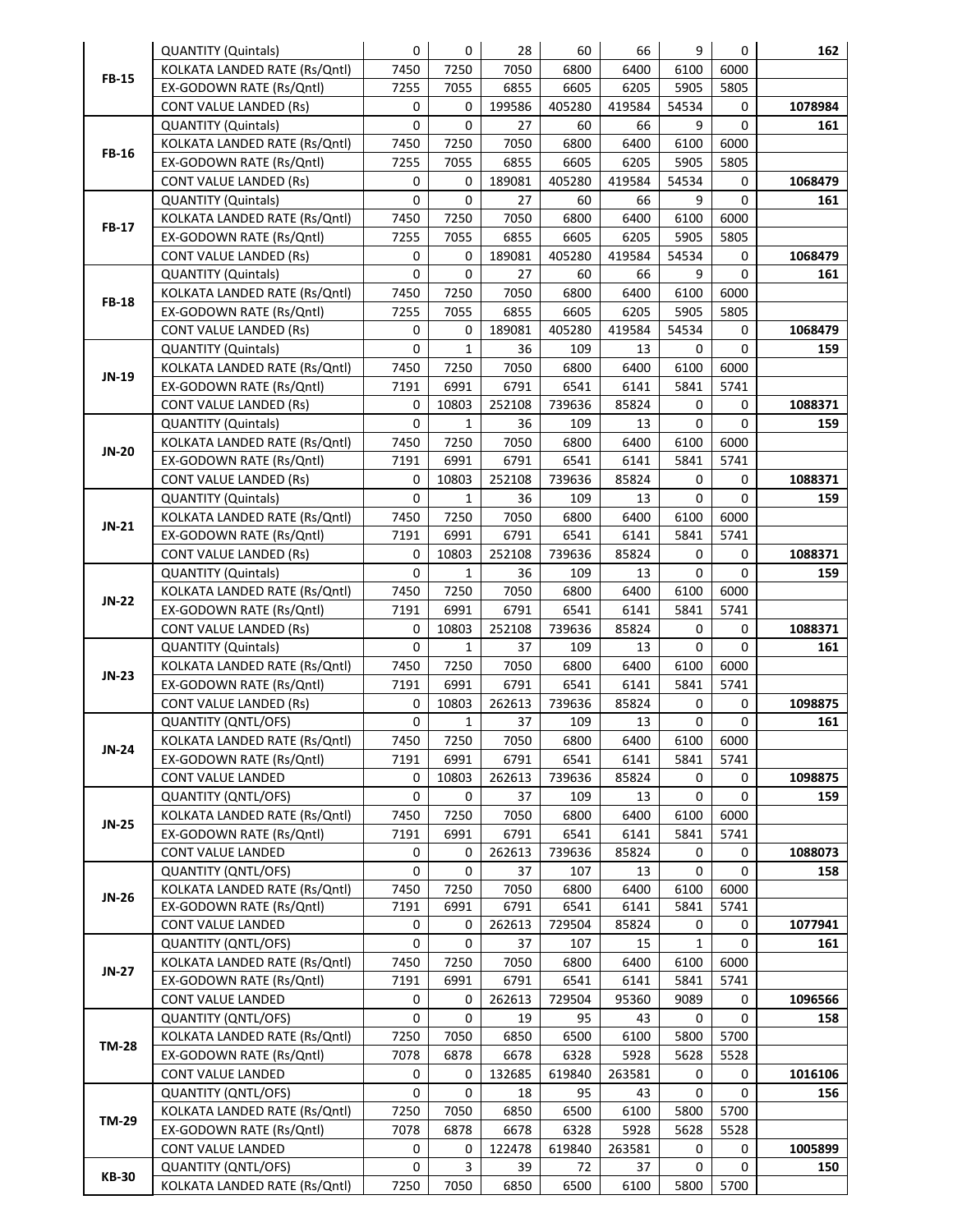|                              | <b>QUANTITY (Quintals)</b>    | $\mathbf 0$ | 0            | 28     | 60     | 66     | 9     | 0         | 162     |
|------------------------------|-------------------------------|-------------|--------------|--------|--------|--------|-------|-----------|---------|
| <b>FB-15</b>                 | KOLKATA LANDED RATE (Rs/Qntl) | 7450        | 7250         | 7050   | 6800   | 6400   | 6100  | 6000      |         |
|                              | EX-GODOWN RATE (Rs/Qntl)      | 7255        | 7055         | 6855   | 6605   | 6205   | 5905  | 5805      |         |
|                              | <b>CONT VALUE LANDED (Rs)</b> | 0           | 0            | 199586 | 405280 | 419584 | 54534 | 0         | 1078984 |
|                              | <b>QUANTITY (Quintals)</b>    | 0           | 0            | 27     | 60     | 66     | 9     | 0         | 161     |
|                              | KOLKATA LANDED RATE (Rs/Qntl) | 7450        | 7250         | 7050   | 6800   | 6400   | 6100  | 6000      |         |
| <b>FB-16</b>                 | EX-GODOWN RATE (Rs/Qntl)      | 7255        | 7055         | 6855   | 6605   | 6205   | 5905  | 5805      |         |
|                              | <b>CONT VALUE LANDED (Rs)</b> | 0           | 0            | 189081 | 405280 | 419584 | 54534 | 0         | 1068479 |
|                              | <b>QUANTITY (Quintals)</b>    | 0           | 0            | 27     | 60     | 66     | 9     | 0         | 161     |
|                              | KOLKATA LANDED RATE (Rs/Qntl) | 7450        | 7250         | 7050   | 6800   | 6400   | 6100  | 6000      |         |
| <b>FB-17</b>                 | EX-GODOWN RATE (Rs/Qntl)      | 7255        | 7055         | 6855   | 6605   | 6205   | 5905  | 5805      |         |
|                              | <b>CONT VALUE LANDED (Rs)</b> | 0           | 0            | 189081 | 405280 | 419584 | 54534 | 0         | 1068479 |
|                              | <b>QUANTITY (Quintals)</b>    | 0           | 0            | 27     | 60     | 66     | 9     | 0         | 161     |
|                              | KOLKATA LANDED RATE (Rs/Qntl) | 7450        | 7250         | 7050   | 6800   | 6400   | 6100  | 6000      |         |
| <b>FB-18</b>                 |                               | 7255        |              |        |        |        | 5905  |           |         |
|                              | EX-GODOWN RATE (Rs/Qntl)      |             | 7055         | 6855   | 6605   | 6205   |       | 5805      |         |
|                              | <b>CONT VALUE LANDED (Rs)</b> | 0           | 0            | 189081 | 405280 | 419584 | 54534 | 0         | 1068479 |
|                              | <b>QUANTITY (Quintals)</b>    | 0           | $\mathbf{1}$ | 36     | 109    | 13     | 0     | 0         | 159     |
| JN-19                        | KOLKATA LANDED RATE (Rs/Qntl) | 7450        | 7250         | 7050   | 6800   | 6400   | 6100  | 6000      |         |
|                              | EX-GODOWN RATE (Rs/Qntl)      | 7191        | 6991         | 6791   | 6541   | 6141   | 5841  | 5741      |         |
|                              | <b>CONT VALUE LANDED (Rs)</b> | 0           | 10803        | 252108 | 739636 | 85824  | 0     | 0         | 1088371 |
|                              | <b>QUANTITY (Quintals)</b>    | 0           | $\mathbf{1}$ | 36     | 109    | 13     | 0     | 0         | 159     |
| <b>JN-20</b>                 | KOLKATA LANDED RATE (Rs/Qntl) | 7450        | 7250         | 7050   | 6800   | 6400   | 6100  | 6000      |         |
|                              | EX-GODOWN RATE (Rs/Qntl)      | 7191        | 6991         | 6791   | 6541   | 6141   | 5841  | 5741      |         |
|                              | <b>CONT VALUE LANDED (Rs)</b> | 0           | 10803        | 252108 | 739636 | 85824  | 0     | 0         | 1088371 |
|                              | <b>QUANTITY (Quintals)</b>    | 0           | $\mathbf{1}$ | 36     | 109    | 13     | 0     | 0         | 159     |
| $JN-21$                      | KOLKATA LANDED RATE (Rs/Qntl) | 7450        | 7250         | 7050   | 6800   | 6400   | 6100  | 6000      |         |
|                              | EX-GODOWN RATE (Rs/Qntl)      | 7191        | 6991         | 6791   | 6541   | 6141   | 5841  | 5741      |         |
|                              | <b>CONT VALUE LANDED (Rs)</b> | 0           | 10803        | 252108 | 739636 | 85824  | 0     | 0         | 1088371 |
|                              | <b>QUANTITY (Quintals)</b>    | 0           | $\mathbf{1}$ | 36     | 109    | 13     | 0     | 0         | 159     |
| <b>JN-22</b>                 | KOLKATA LANDED RATE (Rs/Qntl) | 7450        | 7250         | 7050   | 6800   | 6400   | 6100  | 6000      |         |
|                              | EX-GODOWN RATE (Rs/Qntl)      | 7191        | 6991         | 6791   | 6541   | 6141   | 5841  | 5741      |         |
|                              | <b>CONT VALUE LANDED (Rs)</b> | 0           | 10803        | 252108 | 739636 | 85824  | 0     | 0         | 1088371 |
|                              | <b>QUANTITY (Quintals)</b>    | 0           | $\mathbf{1}$ | 37     | 109    | 13     | 0     | 0         | 161     |
|                              | KOLKATA LANDED RATE (Rs/Qntl) | 7450        | 7250         | 7050   | 6800   | 6400   | 6100  | 6000      |         |
| $JN-23$                      | EX-GODOWN RATE (Rs/Qntl)      | 7191        | 6991         | 6791   | 6541   | 6141   | 5841  | 5741      |         |
|                              | <b>CONT VALUE LANDED (Rs)</b> | 0           | 10803        | 262613 | 739636 | 85824  | 0     | 0         | 1098875 |
|                              | <b>QUANTITY (QNTL/OFS)</b>    | 0           | $\mathbf{1}$ | 37     | 109    | 13     | 0     | 0         | 161     |
|                              | KOLKATA LANDED RATE (Rs/Qntl) | 7450        | 7250         | 7050   | 6800   | 6400   |       | 6100 6000 |         |
|                              | EX-GODOWN RATE (Rs/Qntl)      | 7191        | 6991         | 6791   | 6541   | 6141   | 5841  | 5741      |         |
|                              | CONT VALUE LANDED             | 0           | 10803        | 262613 | 739636 | 85824  | 0     | 0         | 1098875 |
|                              | QUANTITY (QNTL/OFS)           | 0           | 0            | 37     | 109    | 13     | 0     | 0         | 159     |
|                              | KOLKATA LANDED RATE (Rs/Qntl) | 7450        | 7250         | 7050   | 6800   | 6400   | 6100  | 6000      |         |
|                              | EX-GODOWN RATE (Rs/Qntl)      | 7191        | 6991         | 6791   | 6541   | 6141   | 5841  | 5741      |         |
|                              | CONT VALUE LANDED             | 0           | 0            | 262613 | 739636 | 85824  | 0     | 0         | 1088073 |
| JN-24<br><b>JN-25</b>        | <b>QUANTITY (QNTL/OFS)</b>    | 0           | 0            | 37     | 107    | 13     | 0     | 0         | 158     |
| JN-26                        | KOLKATA LANDED RATE (Rs/Qntl) | 7450        | 7250         | 7050   | 6800   | 6400   | 6100  | 6000      |         |
|                              | EX-GODOWN RATE (Rs/Qntl)      | 7191        | 6991         | 6791   | 6541   | 6141   | 5841  | 5741      |         |
|                              | CONT VALUE LANDED             | 0           | 0            | 262613 | 729504 | 85824  | 0     | 0         | 1077941 |
| <b>JN-27</b>                 | <b>QUANTITY (QNTL/OFS)</b>    | 0           | 0            | 37     | 107    | 15     | 1     | 0         | 161     |
|                              | KOLKATA LANDED RATE (Rs/Qntl) | 7450        | 7250         | 7050   | 6800   | 6400   | 6100  | 6000      |         |
|                              | EX-GODOWN RATE (Rs/Qntl)      | 7191        | 6991         | 6791   | 6541   | 6141   | 5841  | 5741      |         |
|                              | CONT VALUE LANDED             | 0           | 0            | 262613 | 729504 | 95360  | 9089  | 0         | 1096566 |
| <b>TM-28</b><br><b>TM-29</b> | <b>QUANTITY (QNTL/OFS)</b>    | 0           | 0            | 19     | 95     | 43     | 0     | 0         | 158     |
|                              | KOLKATA LANDED RATE (Rs/Qntl) | 7250        | 7050         | 6850   | 6500   | 6100   | 5800  | 5700      |         |
|                              | EX-GODOWN RATE (Rs/Qntl)      | 7078        | 6878         |        |        | 5928   | 5628  | 5528      |         |
|                              |                               |             |              | 6678   | 6328   |        |       |           |         |
|                              | CONT VALUE LANDED             | 0           | 0            | 132685 | 619840 | 263581 | 0     | 0         | 1016106 |
|                              | <b>QUANTITY (QNTL/OFS)</b>    | 0           | 0            | 18     | 95     | 43     | 0     | 0         | 156     |
|                              | KOLKATA LANDED RATE (Rs/Qntl) | 7250        | 7050         | 6850   | 6500   | 6100   | 5800  | 5700      |         |
|                              | EX-GODOWN RATE (Rs/Qntl)      | 7078        | 6878         | 6678   | 6328   | 5928   | 5628  | 5528      |         |
|                              | CONT VALUE LANDED             | 0           | 0            | 122478 | 619840 | 263581 | 0     | 0         | 1005899 |
| <b>KB-30</b>                 | <b>QUANTITY (QNTL/OFS)</b>    | 0           | 3            | 39     | 72     | 37     | 0     | 0         | 150     |
|                              | KOLKATA LANDED RATE (Rs/Qntl) | 7250        | 7050         | 6850   | 6500   | 6100   | 5800  | 5700      |         |